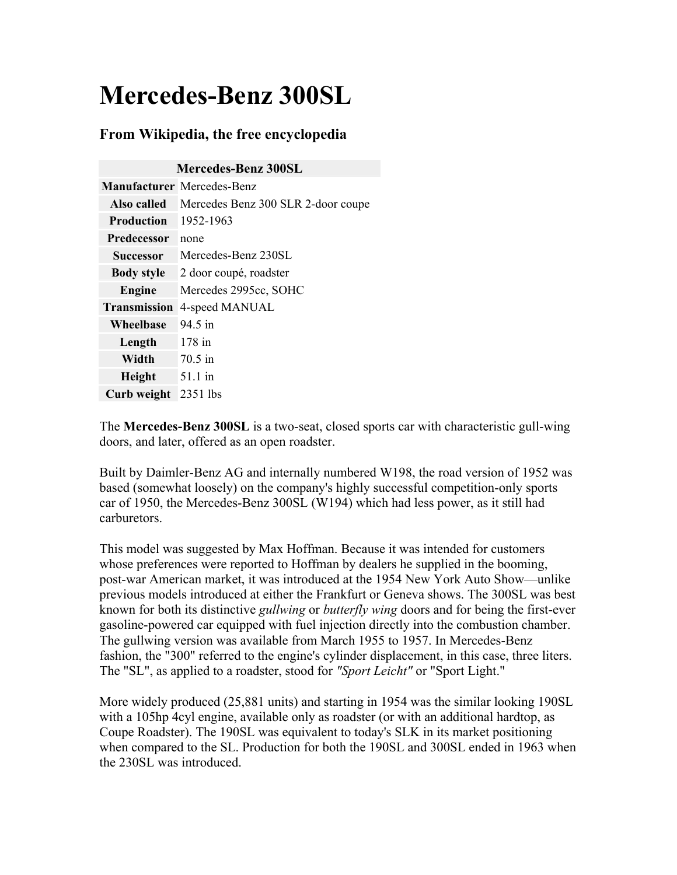# **Mercedes-Benz 300SL**

### **From Wikipedia, the free encyclopedia**

| <b>Mercedes-Benz 300SL</b> |                                    |
|----------------------------|------------------------------------|
|                            | <b>Manufacturer</b> Mercedes-Benz  |
| Also called                | Mercedes Benz 300 SLR 2-door coupe |
| <b>Production</b>          | 1952-1963                          |
| <b>Predecessor</b>         | none                               |
| <b>Successor</b>           | Mercedes-Benz 230SL                |
| <b>Body style</b>          | 2 door coupé, roadster             |
| Engine                     | Mercedes 2995cc, SOHC              |
| <b>Transmission</b>        | 4-speed MANUAL                     |
| Wheelbase                  | $94.5 \; \text{in}$                |
| Length                     | $178$ in                           |
| Width                      | $70.5$ in                          |
| Height                     | $51.1 \text{ in}$                  |
| Curb weight                | 2351 lbs                           |

The **Mercedes-Benz 300SL** is a two-seat, closed sports car with characteristic gull-wing doors, and later, offered as an open roadster.

Built by Daimler-Benz AG and internally numbered W198, the road version of 1952 was based (somewhat loosely) on the company's highly successful competition-only sports car of 1950, the Mercedes-Benz 300SL (W194) which had less power, as it still had carburetors.

This model was suggested by Max Hoffman. Because it was intended for customers whose preferences were reported to Hoffman by dealers he supplied in the booming, post-war American market, it was introduced at the 1954 New York Auto Show—unlike previous models introduced at either the Frankfurt or Geneva shows. The 300SL was best known for both its distinctive *gullwing* or *butterfly wing* doors and for being the first-ever gasoline-powered car equipped with fuel injection directly into the combustion chamber. The gullwing version was available from March 1955 to 1957. In Mercedes-Benz fashion, the "300" referred to the engine's cylinder displacement, in this case, three liters. The "SL", as applied to a roadster, stood for *"Sport Leicht"* or "Sport Light."

More widely produced (25,881 units) and starting in 1954 was the similar looking 190SL with a 105hp 4cyl engine, available only as roadster (or with an additional hardtop, as Coupe Roadster). The 190SL was equivalent to today's SLK in its market positioning when compared to the SL. Production for both the 190SL and 300SL ended in 1963 when the 230SL was introduced.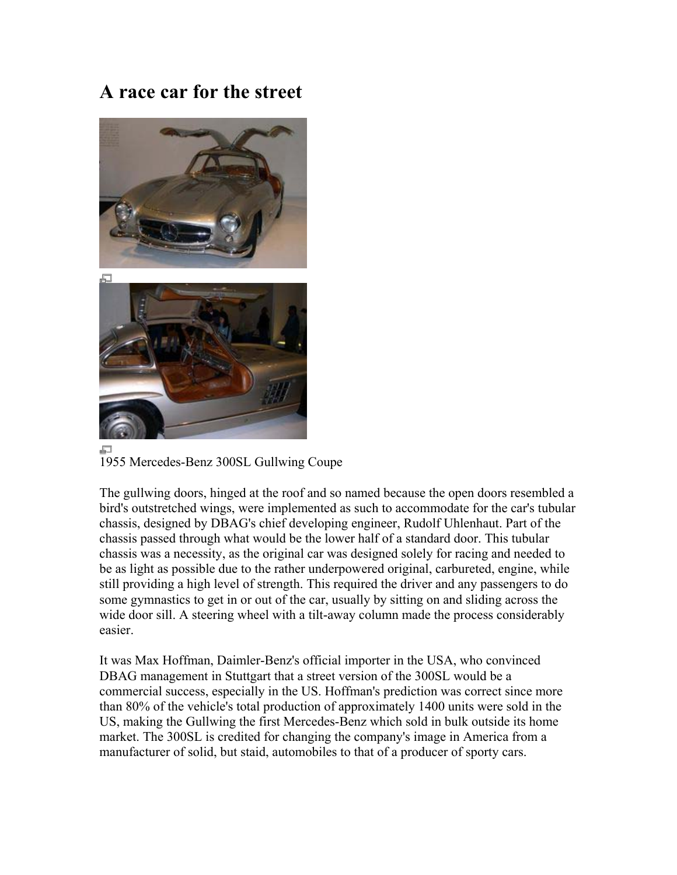### **A race car for the street**



1955 Mercedes-Benz 300SL Gullwing Coupe

The gullwing doors, hinged at the roof and so named because the open doors resembled a bird's outstretched wings, were implemented as such to accommodate for the car's tubular chassis, designed by DBAG's chief developing engineer, Rudolf Uhlenhaut. Part of the chassis passed through what would be the lower half of a standard door. This tubular chassis was a necessity, as the original car was designed solely for racing and needed to be as light as possible due to the rather underpowered original, carbureted, engine, while still providing a high level of strength. This required the driver and any passengers to do some gymnastics to get in or out of the car, usually by sitting on and sliding across the wide door sill. A steering wheel with a tilt-away column made the process considerably easier.

It was Max Hoffman, Daimler-Benz's official importer in the USA, who convinced DBAG management in Stuttgart that a street version of the 300SL would be a commercial success, especially in the US. Hoffman's prediction was correct since more than 80% of the vehicle's total production of approximately 1400 units were sold in the US, making the Gullwing the first Mercedes-Benz which sold in bulk outside its home market. The 300SL is credited for changing the company's image in America from a manufacturer of solid, but staid, automobiles to that of a producer of sporty cars.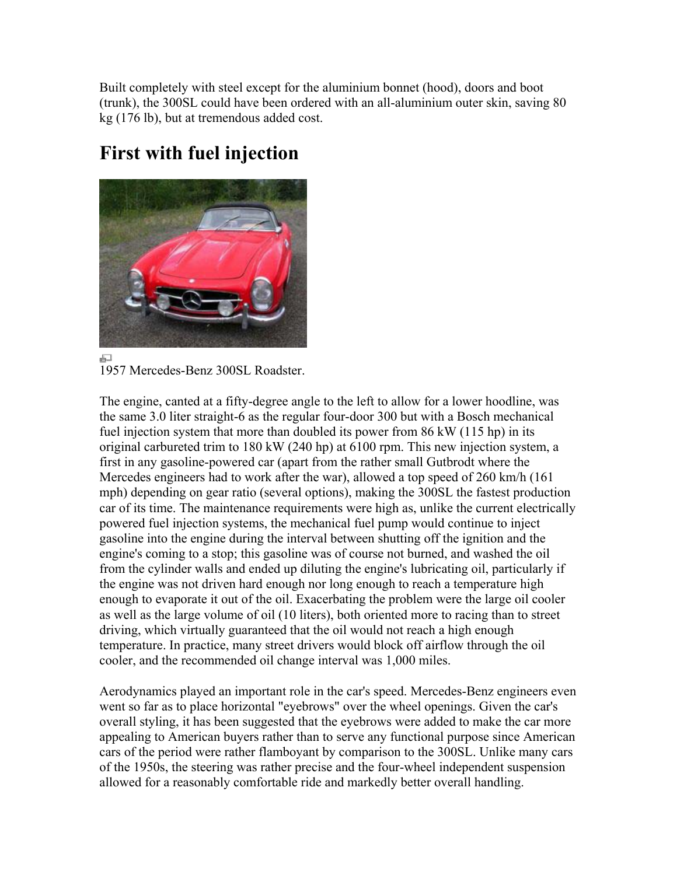Built completely with steel except for the aluminium bonnet (hood), doors and boot (trunk), the 300SL could have been ordered with an all-aluminium outer skin, saving 80 kg (176 lb), but at tremendous added cost.

## **First with fuel injection**



모 1957 Mercedes-Benz 300SL Roadster.

The engine, canted at a fifty-degree angle to the left to allow for a lower hoodline, was the same 3.0 liter straight-6 as the regular four-door 300 but with a Bosch mechanical fuel injection system that more than doubled its power from 86 kW (115 hp) in its original carbureted trim to 180 kW (240 hp) at 6100 rpm. This new injection system, a first in any gasoline-powered car (apart from the rather small Gutbrodt where the Mercedes engineers had to work after the war), allowed a top speed of 260 km/h (161 mph) depending on gear ratio (several options), making the 300SL the fastest production car of its time. The maintenance requirements were high as, unlike the current electrically powered fuel injection systems, the mechanical fuel pump would continue to inject gasoline into the engine during the interval between shutting off the ignition and the engine's coming to a stop; this gasoline was of course not burned, and washed the oil from the cylinder walls and ended up diluting the engine's lubricating oil, particularly if the engine was not driven hard enough nor long enough to reach a temperature high enough to evaporate it out of the oil. Exacerbating the problem were the large oil cooler as well as the large volume of oil (10 liters), both oriented more to racing than to street driving, which virtually guaranteed that the oil would not reach a high enough temperature. In practice, many street drivers would block off airflow through the oil cooler, and the recommended oil change interval was 1,000 miles.

Aerodynamics played an important role in the car's speed. Mercedes-Benz engineers even went so far as to place horizontal "eyebrows" over the wheel openings. Given the car's overall styling, it has been suggested that the eyebrows were added to make the car more appealing to American buyers rather than to serve any functional purpose since American cars of the period were rather flamboyant by comparison to the 300SL. Unlike many cars of the 1950s, the steering was rather precise and the four-wheel independent suspension allowed for a reasonably comfortable ride and markedly better overall handling.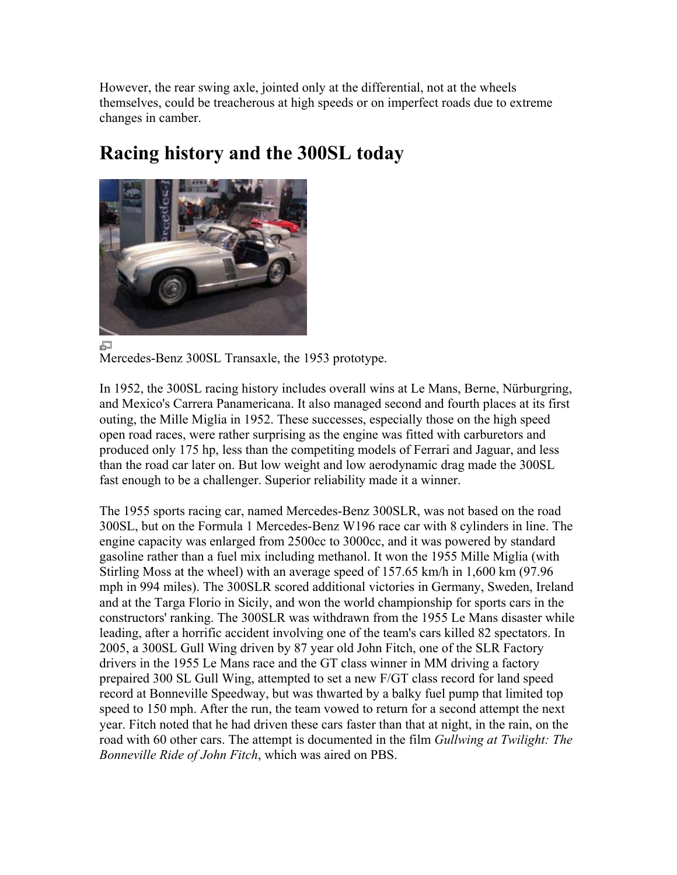However, the rear swing axle, jointed only at the differential, not at the wheels themselves, could be treacherous at high speeds or on imperfect roads due to extreme changes in camber.

# 量

## **Racing history and the 300SL today**

Mercedes-Benz 300SL Transaxle, the 1953 prototype.

In 1952, the 300SL racing history includes overall wins at Le Mans, Berne, Nürburgring, and Mexico's Carrera Panamericana. It also managed second and fourth places at its first outing, the Mille Miglia in 1952. These successes, especially those on the high speed open road races, were rather surprising as the engine was fitted with carburetors and produced only 175 hp, less than the competiting models of Ferrari and Jaguar, and less than the road car later on. But low weight and low aerodynamic drag made the 300SL fast enough to be a challenger. Superior reliability made it a winner.

The 1955 sports racing car, named Mercedes-Benz 300SLR, was not based on the road 300SL, but on the Formula 1 Mercedes-Benz W196 race car with 8 cylinders in line. The engine capacity was enlarged from 2500cc to 3000cc, and it was powered by standard gasoline rather than a fuel mix including methanol. It won the 1955 Mille Miglia (with Stirling Moss at the wheel) with an average speed of 157.65 km/h in 1,600 km (97.96 mph in 994 miles). The 300SLR scored additional victories in Germany, Sweden, Ireland and at the Targa Florio in Sicily, and won the world championship for sports cars in the constructors' ranking. The 300SLR was withdrawn from the 1955 Le Mans disaster while leading, after a horrific accident involving one of the team's cars killed 82 spectators. In 2005, a 300SL Gull Wing driven by 87 year old John Fitch, one of the SLR Factory drivers in the 1955 Le Mans race and the GT class winner in MM driving a factory prepaired 300 SL Gull Wing, attempted to set a new F/GT class record for land speed record at Bonneville Speedway, but was thwarted by a balky fuel pump that limited top speed to 150 mph. After the run, the team vowed to return for a second attempt the next year. Fitch noted that he had driven these cars faster than that at night, in the rain, on the road with 60 other cars. The attempt is documented in the film *Gullwing at Twilight: The Bonneville Ride of John Fitch*, which was aired on PBS.